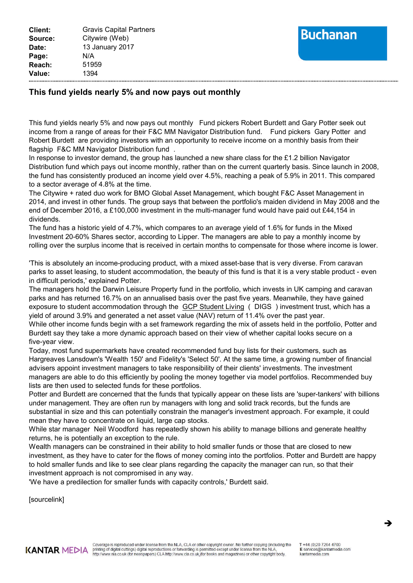## **Buchanan**

## **This fund yields nearly 5% and now pays out monthly**

This fund yields nearly 5% and now pays out monthly Fund pickers Robert Burdett and Gary Potter seek out income from a range of areas for their F&C MM Navigator Distribution fund. Fund pickers Gary Potter and Robert Burdett are providing investors with an opportunity to receive income on a monthly basis from their flagship F&C MM Navigator Distribution fund .

In response to investor demand, the group has launched a new share class for the £1.2 billion Navigator Distribution fund which pays out income monthly, rather than on the current quarterly basis. Since launch in 2008, the fund has consistently produced an income yield over 4.5%, reaching a peak of 5.9% in 2011. This compared to a sector average of 4.8% at the time.

The Citywire + rated duo work for BMO Global Asset Management, which bought F&C Asset Management in 2014, and invest in other funds. The group says that between the portfolio's maiden dividend in May 2008 and the end of December 2016, a £100,000 investment in the multi-manager fund would have paid out £44,154 in dividends.

The fund has a historic yield of 4.7%, which compares to an average yield of 1.6% for funds in the Mixed Investment 20-60% Shares sector, according to Lipper. The managers are able to pay a monthly income by rolling over the surplus income that is received in certain months to compensate for those where income is lower.

'This is absolutely an income-producing product, with a mixed asset-base that is very diverse. From caravan parks to asset leasing, to student accommodation, the beauty of this fund is that it is a very stable product - even in difficult periods,' explained Potter.

The managers hold the Darwin Leisure Property fund in the portfolio, which invests in UK camping and caravan parks and has returned 16.7% on an annualised basis over the past five years. Meanwhile, they have gained exposure to student accommodation through the GCP Student Living (DIGS) investment trust, which has a yield of around 3.9% and generated a net asset value (NAV) return of 11.4% over the past year.

While other income funds begin with a set framework regarding the mix of assets held in the portfolio, Potter and Burdett say they take a more dynamic approach based on their view of whether capital looks secure on a five-year view.

Today, most fund supermarkets have created recommended fund buy lists for their customers, such as Hargreaves Lansdown's 'Wealth 150' and Fidelity's 'Select 50'. At the same time, a growing number of financial advisers appoint investment managers to take responsibility of their clients' investments. The investment managers are able to do this efficiently by pooling the money together via model portfolios. Recommended buy lists are then used to selected funds for these portfolios.

Potter and Burdett are concerned that the funds that typically appear on these lists are 'super-tankers' with billions under management. They are often run by managers with long and solid track records, but the funds are substantial in size and this can potentially constrain the manager's investment approach. For example, it could mean they have to concentrate on liquid, large cap stocks.

While star manager Neil Woodford has repeatedly shown his ability to manage billions and generate healthy returns, he is potentially an exception to the rule.

Wealth managers can be constrained in their ability to hold smaller funds or those that are closed to new investment, as they have to cater for the flows of money coming into the portfolios. Potter and Burdett are happy to hold smaller funds and like to see clear plans regarding the capacity the manager can run, so that their investment approach is not compromised in any way.

'We have a predilection for smaller funds with capacity controls,' Burdett said.

[sourcelink]